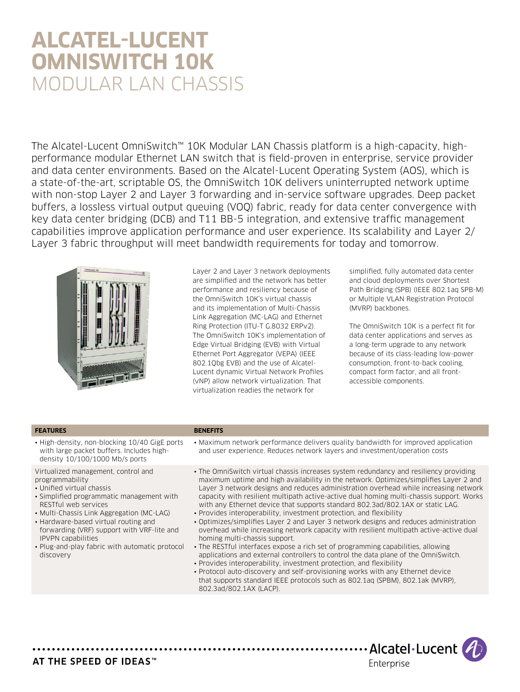# **Alcatel-Lucent OmniSwitch 10K** Modular LAN Chassis

The Alcatel-Lucent OmniSwitch™ 10K Modular LAN Chassis platform is a high-capacity, highperformance modular Ethernet LAN switch that is field-proven in enterprise, service provider and data center environments. Based on the Alcatel-Lucent Operating System (AOS), which is a state-of-the-art, scriptable OS, the OmniSwitch 10K delivers uninterrupted network uptime with non-stop Layer 2 and Layer 3 forwarding and in-service software upgrades. Deep packet buffers, a lossless virtual output queuing (VOQ) fabric, ready for data center convergence with key data center bridging (DCB) and T11 BB-5 integration, and extensive traffic management capabilities improve application performance and user experience. Its scalability and Layer 2/ Layer 3 fabric throughput will meet bandwidth requirements for today and tomorrow.



Layer 2 and Layer 3 network deployments are simplified and the network has better performance and resiliency because of the OmniSwitch 10K's virtual chassis and its implementation of Multi-Chassis Link Aggregation (MC-LAG) and Ethernet Ring Protection (ITU-T G.8032 ERPv2). The OmniSwitch 10K's implementation of Edge Virtual Bridging (EVB) with Virtual Ethernet Port Aggregator (VEPA) (IEEE 802.1Qbg EVB) and the use of Alcatel-Lucent dynamic Virtual Network Profiles (vNP) allow network virtualization. That virtualization readies the network for

simplified, fully automated data center and cloud deployments over Shortest Path Bridging (SPB) (IEEE 802.1aq SPB-M) or Multiple VLAN Registration Protocol (MVRP) backbones.

The OmniSwitch 10K is a perfect fit for data center applications and serves as a long-term upgrade to any network because of its class-leading low-power consumption, front-to-back cooling, compact form factor, and all frontaccessible components.

#### **FEATURES BENEFITS**

- 
- High-density, non-blocking 10/40 GigE ports with large packet buffers. Includes highdensity 10/100/1000 Mb/s ports

Virtualized management, control and programmability

- Unified virtual chassis
- Simplified programmatic management with RESTful web services
- Multi-Chassis Link Aggregation (MC-LAG)
- Hardware-based virtual routing and
- forwarding (VRF) support with VRF-lite and IPVPN capabilities
- Plug-and-play fabric with automatic protocol discovery
- Maximum network performance delivers quality bandwidth for improved application and user experience. Reduces network layers and investment/operation costs
- The OmniSwitch virtual chassis increases system redundancy and resiliency providing maximum uptime and high availability in the network. Optimizes/simplifies Layer 2 and Layer 3 network designs and reduces administration overhead while increasing network capacity with resilient multipath active-active dual homing multi-chassis support. Works with any Ethernet device that supports standard 802.3ad/802.1AX or static LAG.
- Provides interoperability, investment protection, and flexibility
- Optimizes/simplifies Layer 2 and Layer 3 network designs and reduces administration overhead while increasing network capacity with resilient multipath active-active dual homing multi-chassis support.
- The RESTful interfaces expose a rich set of programming capabilities, allowing applications and external controllers to control the data plane of the OmniSwitch. • Provides interoperability, investment protection, and flexibility
- Protocol auto-discovery and self-provisioning works with any Ethernet device that supports standard IEEE protocols such as 802.1aq (SPBM), 802.1ak (MVRP), 802.3ad/802.1AX (LACP).

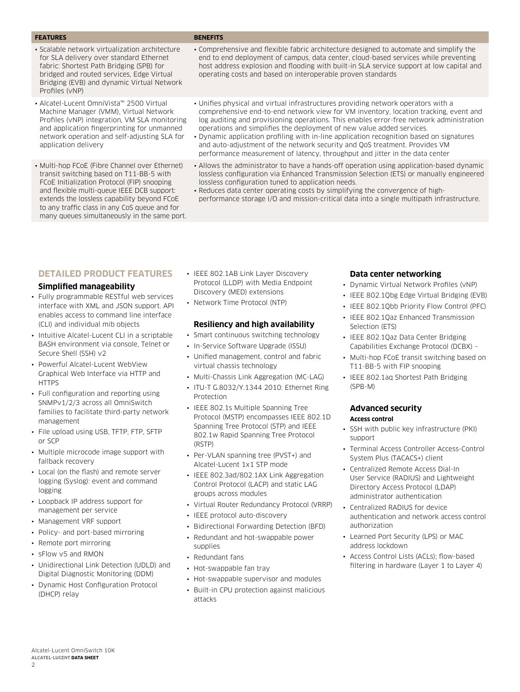#### **FEATURES BENEFITS**

- Scalable network virtualization architecture for SLA delivery over standard Ethernet fabric: Shortest Path Bridging (SPB) for bridged and routed services, Edge Virtual Bridging (EVB) and dynamic Virtual Network Profiles (vNP)
- Alcatel-Lucent OmniVista™ 2500 Virtual Machine Manager (VMM), Virtual Network Profiles (vNP) integration, VM SLA monitoring and application fingerprinting for unmanned network operation and self-adjusting SLA for application delivery
- Multi-hop FCoE (Fibre Channel over Ethernet) transit switching based on T11-BB-5 with FCoE Initialization Protocol (FIP) snooping and flexible multi-queue IEEE DCB support: extends the lossless capability beyond FCoE to any traffic class in any CoS queue and for many queues simultaneously in the same port.

- Comprehensive and flexible fabric architecture designed to automate and simplify the end to end deployment of campus, data center, cloud-based services while preventing host address explosion and flooding with built-in SLA service support at low capital and operating costs and based on interoperable proven standards
- Unifies physical and virtual infrastructures providing network operators with a comprehensive end-to-end network view for VM inventory, location tracking, event and log auditing and provisioning operations. This enables error-free network administration operations and simplifies the deployment of new value added services.
- Dynamic application profiling with in-line application recognition based on signatures and auto-adjustment of the network security and QoS treatment. Provides VM performance measurement of latency, throughput and jitter in the data center
- Allows the administrator to have a hands-off operation using application-based dynamic lossless configuration via Enhanced Transmission Selection (ETS) or manually engineered lossless configuration tuned to application needs.
- Reduces data center operating costs by simplifying the convergence of highperformance storage I/O and mission-critical data into a single multipath infrastructure.

# **Detailed product features**

#### **Simplified manageability**

- Fully programmable RESTful web services interface with XML and JSON support. API enables access to command line interface (CLI) and individual mib objects
- Intuitive Alcatel-Lucent CLI in a scriptable BASH environment via console, Telnet or Secure Shell (SSH) v2
- Powerful Alcatel-Lucent WebView Graphical Web Interface via HTTP and **HTTPS**
- Full configuration and reporting using SNMPv1/2/3 across all OmniSwitch families to facilitate third-party network management
- File upload using USB, TFTP, FTP, SFTP or SCP
- Multiple microcode image support with fallback recovery
- Local (on the flash) and remote server logging (Syslog): event and command logging
- Loopback IP address support for management per service
- Management VRF support
- Policy- and port-based mirroring
- Remote port mirroring
- sFlow v5 and RMON
- Unidirectional Link Detection (UDLD) and Digital Diagnostic Monitoring (DDM)
- Dynamic Host Configuration Protocol (DHCP) relay
- IEEE 802.1AB Link Laver Discovery Protocol (LLDP) with Media Endpoint Discovery (MED) extensions
- Network Time Protocol (NTP)

#### **Resiliency and high availability**

- Smart continuous switching technology
- In-Service Software Upgrade (ISSU)
- Unified management, control and fabric virtual chassis technology
- Multi-Chassis Link Aggregation (MC-LAG)
- ITU-T G.8032/Y.1344 2010: Ethernet Ring Protection
- IEEE 802.1s Multiple Spanning Tree Protocol (MSTP) encompasses IEEE 802.1D Spanning Tree Protocol (STP) and IEEE 802.1w Rapid Spanning Tree Protocol (RSTP)
- Per-VLAN spanning tree (PVST+) and Alcatel-Lucent 1x1 STP mode
- IEEE 802.3ad/802.1AX Link Aggregation Control Protocol (LACP) and static LAG groups across modules
- Virtual Router Redundancy Protocol (VRRP)
- IEEE protocol auto-discovery
- Bidirectional Forwarding Detection (BFD)
- Redundant and hot-swappable power
- supplies
- Redundant fans
- Hot-swappable fan tray
- Hot-swappable supervisor and modules
- Built-in CPU protection against malicious attacks

#### **Data center networking**

- Dynamic Virtual Network Profiles (vNP)
- IEEE 802.1Qbg Edge Virtual Bridging (EVB)
- IEEE 802.1Qbb Priority Flow Control (PFC)
- IEEE 802.1Qaz Enhanced Transmission Selection (ETS)
- IEEE 802.1Qaz Data Center Bridging Capabilities Exchange Protocol (DCBX) –
- Multi-hop FCoE transit switching based on T11-BB-5 with FIP snooping
- IEEE 802.1aq Shortest Path Bridging (SPB-M)

#### **Advanced security Access control**

- SSH with public key infrastructure (PKI) support
- Terminal Access Controller Access-Control System Plus (TACACS+) client
- Centralized Remote Access Dial-In User Service (RADIUS) and Lightweight Directory Access Protocol (LDAP) administrator authentication
- Centralized RADIUS for device authentication and network access control authorization
- Learned Port Security (LPS) or MAC address lockdown
- Access Control Lists (ACLs); flow-based filtering in hardware (Layer 1 to Layer 4)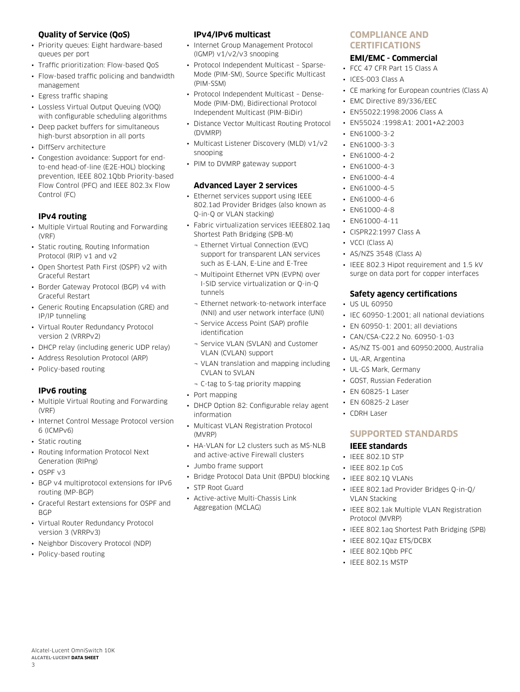# **Quality of Service (QoS)**

- Priority queues: Eight hardware-based queues per port
- Traffic prioritization: Flow-based QoS
- Flow-based traffic policing and bandwidth management
- Egress traffic shaping
- Lossless Virtual Output Queuing (VOQ) with configurable scheduling algorithms
- Deep packet buffers for simultaneous high-burst absorption in all ports
- DiffServ architecture
- Congestion avoidance: Support for endto-end head-of-line (E2E-HOL) blocking prevention, IEEE 802.1Qbb Priority-based Flow Control (PFC) and IEEE 802.3x Flow Control (FC)

# **IPv4 routing**

- Multiple Virtual Routing and Forwarding (VRF)
- Static routing, Routing Information Protocol (RIP) v1 and v2
- Open Shortest Path First (OSPF) v2 with Graceful Restart
- Border Gateway Protocol (BGP) v4 with Graceful Restart
- Generic Routing Encapsulation (GRE) and IP/IP tunneling
- Virtual Router Redundancy Protocol version 2 (VRRPv2)
- DHCP relay (including generic UDP relay)
- Address Resolution Protocol (ARP)
- Policy-based routing

# **IPv6 routing**

- Multiple Virtual Routing and Forwarding (VRF)
- Internet Control Message Protocol version 6 (ICMPv6)
- Static routing
- Routing Information Protocol Next Generation (RIPng)
- OSPF v3
- BGP v4 multiprotocol extensions for IPv6 routing (MP-BGP)
- Graceful Restart extensions for OSPF and **BGP**
- Virtual Router Redundancy Protocol version 3 (VRRPv3)
- Neighbor Discovery Protocol (NDP)
- Policy-based routing

# **IPv4/IPv6 multicast**

- Internet Group Management Protocol (IGMP) v1/v2/v3 snooping
- Protocol Independent Multicast Sparse-Mode (PIM-SM), Source Specific Multicast (PIM-SSM)
- Protocol Independent Multicast Dense-Mode (PIM-DM), Bidirectional Protocol Independent Multicast (PIM-BiDir)
- Distance Vector Multicast Routing Protocol (DVMRP)
- Multicast Listener Discovery (MLD) v1/v2 snooping
- PIM to DVMRP gateway support

# **Advanced Layer 2 services**

- Ethernet services support using IEEE 802.1ad Provider Bridges (also known as Q-in-Q or VLAN stacking)
- Fabric virtualization services IEEE802.1aq Shortest Path Bridging (SPB-M)
	- ¬ Ethernet Virtual Connection (EVC) support for transparent LAN services such as E-LAN, E-Line and E-Tree
	- ¬ Multipoint Ethernet VPN (EVPN) over I-SID service virtualization or Q-in-Q tunnels
	- ¬ Ethernet network-to-network interface (NNI) and user network interface (UNI)
	- ¬ Service Access Point (SAP) profile identification
	- ¬ Service VLAN (SVLAN) and Customer VLAN (CVLAN) support
	- ¬ VLAN translation and mapping including CVLAN to SVLAN
	- ¬ C-tag to S-tag priority mapping
- Port mapping
- DHCP Option 82: Configurable relay agent information
- Multicast VLAN Registration Protocol (MVRP)
- HA-VLAN for L2 clusters such as MS-NLB and active-active Firewall clusters
- Jumbo frame support
- Bridge Protocol Data Unit (BPDU) blocking
- STP Root Guard
- Active-active Multi-Chassis Link Aggregation (MCLAG)

# **Compliance and certifications**

# **EMI/EMC - Commercial**

- FCC 47 CFR Part 15 Class A
- ICES-003 Class A
- CE marking for European countries (Class A)
- EMC Directive 89/336/EEC
- EN55022:1998:2006 Class A
- EN55024 :1998:A1: 2001+A2:2003
- EN61000-3-2
- EN61000-3-3
- $-$  EN61000-4-2
- EN61000-4-3
- EN61000-4-4
- EN61000-4-5
- EN61000-4-6
- EN61000-4-8
- EN61000-4-11
- CISPR22:1997 Class A
- VCCI (Class A)
- AS/NZS 3548 (Class A)
- IEEE 802.3 Hipot requirement and 1.5 kV surge on data port for copper interfaces

# **Safety agency certifications**

- US UL 60950
- IEC 60950-1:2001; all national deviations
- EN 60950-1: 2001; all deviations
- CAN/CSA-C22.2 No. 60950-1-03
- AS/NZ TS-001 and 60950:2000, Australia
- UL-AR, Argentina
- UL-GS Mark, Germany
- GOST, Russian Federation
- EN 60825-1 Laser
- EN 60825-2 Laser
- CDRH Laser

# **Supported standards**

# **IEEE standards**

- IEEE 802.1D STP
- IEEE 802.1p CoS
- IEEE 802.1Q VLANs
- IEEE 802.1ad Provider Bridges Q-in-Q/ VLAN Stacking
- IEEE 802.1ak Multiple VLAN Registration Protocol (MVRP)
- IEEE 802.1aq Shortest Path Bridging (SPB)
- IEEE 802.1Qaz ETS/DCBX
- IEEE 802.1Qbb PFC
- IEEE 802.1s MSTP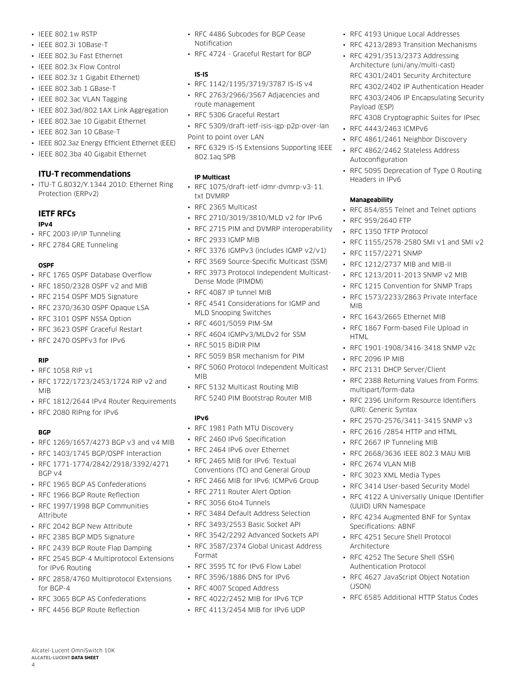- IEEE 802.1w RSTP
- IEEE 802.3i 10Base-T
- IEEE 802.3u Fast Ethernet
- IEEE 802.3x Flow Control
- IEEE 802.3z 1 Gigabit Ethernet)
- IEEE 802.3ab 1 GBase-T
- IEEE 802.3ac VLAN Tagging
- IEEE 802.3ad/802.1AX Link Aggregation
- IEEE 802.3ae 10 Gigabit Ethernet
- IEEE 802.3an 10 GBase-T
- IEEE 802.3az Energy Efficient Ethernet (EEE)
- IEEE 802.3ba 40 Gigabit Ethernet

# **ITU-T recommendations**

• ITU-T G.8032/Y.1344 2010: Ethernet Ring Protection (ERPv2)

# **IETF RFCs**

#### **IPv4**

- RFC 2003 IP/IP Tunneling
- RFC 2784 GRE Tunneling

#### **OSPF**

- RFC 1765 OSPF Database Overflow
- RFC 1850/2328 OSPF v2 and MIB
- RFC 2154 OSPF MD5 Signature
- RFC 2370/3630 OSPF Opaque LSA
- RFC 3101 OSPF NSSA Option
- RFC 3623 OSPF Graceful Restart
- RFC 2470 OSPFv3 for IPv6

# **RIP**

- RFC 1058 RIP  $v1$
- RFC 1722/1723/2453/1724 RIP v2 and MIB
- RFC 1812/2644 IPv4 Router Requirements
- RFC 2080 RIPng for IPv6

# **BGP**

4

- RFC 1269/1657/4273 BGP v3 and v4 MIB
- RFC 1403/1745 BGP/OSPF Interaction
- RFC 1771-1774/2842/2918/3392/4271 BGP v4
- RFC 1965 BGP AS Confederations
- RFC 1966 BGP Route Reflection
- RFC 1997/1998 BGP Communities **Attribute**
- RFC 2042 BGP New Attribute
- RFC 2385 BGP MD5 Signature
- RFC 2439 BGP Route Flap Damping
- RFC 2545 BGP-4 Multiprotocol Extensions for IPv6 Routing
- RFC 2858/4760 Multiprotocol Extensions for BGP-4
- RFC 3065 BGP AS Confederations
- RFC 4456 BGP Route Reflection

Alcatel-Lucent OmniSwitch 10K **Alcatel-Lucent Data sheet**

- RFC 4486 Subcodes for BGP Cease Notification
- RFC 4724 Graceful Restart for BGP

#### **IS-IS**

- RFC 1142/1195/3719/3787 IS-IS v4
- RFC 2763/2966/3567 Adjacencies and route management
- RFC 5306 Graceful Restart
- RFC 5309/draft-ietf-isis-igp-p2p-over-lan Point to point over LAN
- RFC 6329 IS-IS Extensions Supporting IEEE 802.1aq SPB

## **IP Multicast**

- RFC 1075/draft-ietf-idmr-dvmrp-v3-11. txt DVMRP
- RFC 2365 Multicast
- RFC 2710/3019/3810/MLD v2 for IPv6
- RFC 2715 PIM and DVMRP interoperability
- RFC 2933 IGMP MIB
- RFC 3376 IGMPv3 (includes IGMP v2/v1)
- RFC 3569 Source-Specific Multicast (SSM)
- RFC 3973 Protocol Independent Multicast-Dense Mode (PIMDM)
- RFC 4087 IP tunnel MIB
- RFC 4541 Considerations for IGMP and MLD Snooping Switches
- RFC 4601/5059 PIM-SM
- RFC 4604 IGMPv3/MLDv2 for SSM
- RFC 5015 BiDIR PIM
- RFC 5059 BSR mechanism for PIM
- RFC 5060 Protocol Independent Multicast MIB
- RFC 5132 Multicast Routing MIB RFC 5240 PIM Bootstrap Router MIB

# **IPv6**

- RFC 1981 Path MTU Discovery
- RFC 2460 IPv6 Specification
- RFC 2464 IPv6 over Ethernet
- RFC 2465 MIB for IPv6: Textual Conventions (TC) and General Group
- RFC 2466 MIB for IPv6: ICMPv6 Group
- RFC 2711 Router Alert Option
- RFC 3056 6to4 Tunnels
- RFC 3484 Default Address Selection
- RFC 3493/2553 Basic Socket API
- RFC 3542/2292 Advanced Sockets API
- RFC 3587/2374 Global Unicast Address Format
- RFC 3595 TC for IPv6 Flow Label
- RFC 3596/1886 DNS for IPv6
- RFC 4007 Scoped Address
- RFC 4022/2452 MIB for IPv6 TCP
- RFC 4113/2454 MIB for IPv6 UDP
- RFC 4193 Unique Local Addresses
- RFC 4213/2893 Transition Mechanisms
- RFC 4291/3513/2373 Addressing Architecture (uni/any/multi-cast) RFC 4301/2401 Security Architecture RFC 4302/2402 IP Authentication Header RFC 4303/2406 IP Encapsulating Security Payload (ESP)
	- RFC 4308 Cryptographic Suites for IPsec
- RFC 4443/2463 ICMPv6
- RFC 4861/2461 Neighbor Discovery
- RFC 4862/2462 Stateless Address Autoconfiguration
- RFC 5095 Deprecation of Type 0 Routing Headers in IPv6

#### **Manageability**

MIB

HTML

• RFC 2096 IP MIB

multipart/form-data

(URI): Generic Syntax

• RFC 2674 VLAN MIB • RFC 3023 XML Media Types

(UUID) URN Namespace

Specifications: ABNF

Architecture

(JSON)

- RFC 854/855 Telnet and Telnet options
- RFC 959/2640 FTP
- RFC 1350 TFTP Protocol

• RFC 1157/2271 SNMP

• RFC 1212/2737 MIB and MIB-II • RFC 1213/2011-2013 SNMP v2 MIB • RFC 1215 Convention for SNMP Traps • RFC 1573/2233/2863 Private Interface

• RFC 1643/2665 Ethernet MIB • RFC 1867 Form-based File Upload in

• RFC 2131 DHCP Server/Client

• RFC 1901-1908/3416-3418 SNMP v2c

• RFC 2388 Returning Values from Forms:

• RFC 2396 Uniform Resource Identifiers

• RFC 2570-2576/3411-3415 SNMP v3 • RFC 2616 /2854 HTTP and HTML • RFC 2667 IP Tunneling MIB

• RFC 2668/3636 IEEE 802.3 MAU MIB

• RFC 3414 User-based Security Model • RFC 4122 A Universally Unique IDentifier

• RFC 4234 Augmented BNF for Syntax

• RFC 4251 Secure Shell Protocol

• RFC 4252 The Secure Shell (SSH) Authentication Protocol

• RFC 4627 JavaScript Object Notation

• RFC 6585 Additional HTTP Status Codes

• RFC 1155/2578-2580 SMI v1 and SMI v2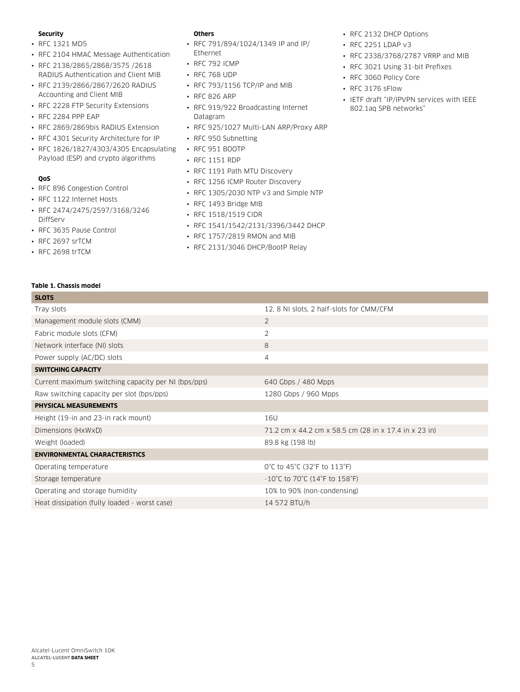#### **Security**

- RFC 1321 MD5
- RFC 2104 HMAC Message Authentication
- RFC 2138/2865/2868/3575 /2618 RADIUS Authentication and Client MIB
- RFC 2139/2866/2867/2620 RADIUS Accounting and Client MIB
- RFC 2228 FTP Security Extensions
- RFC 2284 PPP EAP
- RFC 2869/2869bis RADIUS Extension
- RFC 4301 Security Architecture for IP
- RFC 1826/1827/4303/4305 Encapsulating RFC 951 BOOTP Payload (ESP) and crypto algorithms

# **QoS**

- RFC 896 Congestion Control
- RFC 1122 Internet Hosts
- RFC 2474/2475/2597/3168/3246 DiffServ
- RFC 3635 Pause Control
- RFC 2697 srTCM
- RFC 2698 trTCM

# **Others**

- RFC 791/894/1024/1349 IP and IP/ Ethernet
- RFC 792 ICMP
- RFC 768 UDP
- RFC 793/1156 TCP/IP and MIB
- RFC 826 ARP
- RFC 919/922 Broadcasting Internet Datagram
- RFC 925/1027 Multi-LAN ARP/Proxy ARP
- RFC 950 Subnetting
- 
- RFC 1151 RDP
- RFC 1191 Path MTU Discovery
- RFC 1256 ICMP Router Discovery
- RFC 1305/2030 NTP v3 and Simple NTP
- RFC 1493 Bridge MIB
- RFC 1518/1519 CIDR
- RFC 1541/1542/2131/3396/3442 DHCP
- RFC 1757/2819 RMON and MIB
- RFC 2131/3046 DHCP/BootP Relay
- RFC 2132 DHCP Options
- RFC 2251 LDAP v3
- RFC 2338/3768/2787 VRRP and MIB
- RFC 3021 Using 31-bit Prefixes
- RFC 3060 Policy Core
- RFC 3176 sFlow
- IETF draft "IP/IPVPN services with IEEE 802.1aq SPB networks"

#### **Table 1. Chassis model**

| <b>SLOTS</b>                                        |                                                                          |
|-----------------------------------------------------|--------------------------------------------------------------------------|
| Tray slots                                          | 12, 8 NI slots, 2 half-slots for CMM/CFM                                 |
| Management module slots (CMM)                       | $\overline{2}$                                                           |
| Fabric module slots (CFM)                           | 2                                                                        |
| Network interface (NI) slots                        | 8                                                                        |
| Power supply (AC/DC) slots                          | 4                                                                        |
| <b>SWITCHING CAPACITY</b>                           |                                                                          |
| Current maximum switching capacity per NI (bps/pps) | 640 Gbps / 480 Mpps                                                      |
| Raw switching capacity per slot (bps/pps)           | 1280 Gbps / 960 Mpps                                                     |
| <b>PHYSICAL MEASUREMENTS</b>                        |                                                                          |
| Height (19-in and 23-in rack mount)                 | 16U                                                                      |
| Dimensions (HxWxD)                                  | 71.2 cm x 44.2 cm x 58.5 cm (28 in x 17.4 in x 23 in)                    |
| Weight (loaded)                                     | 89.8 kg (198 lb)                                                         |
| <b>ENVIRONMENTAL CHARACTERISTICS</b>                |                                                                          |
| Operating temperature                               | 0°C to 45°C (32°F to 113°F)                                              |
| Storage temperature                                 | $-10^{\circ}$ C to 70 $^{\circ}$ C (14 $^{\circ}$ F to 158 $^{\circ}$ F) |
| Operating and storage humidity                      | 10% to 90% (non-condensing)                                              |
| Heat dissipation (fully loaded - worst case)        | 14 572 BTU/h                                                             |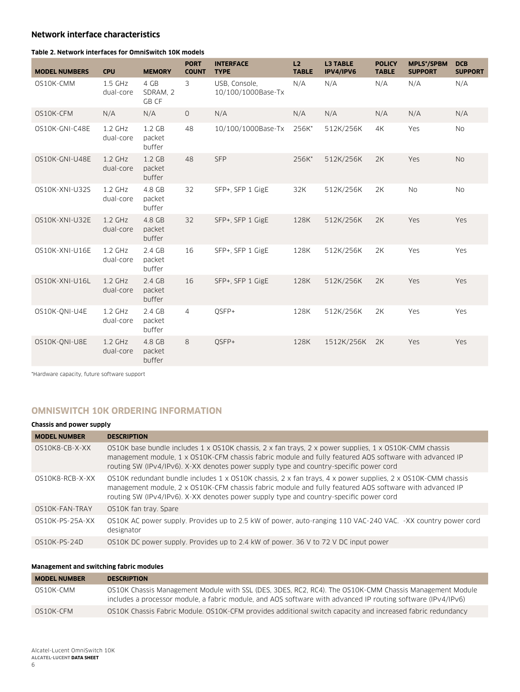# **Network interface characteristics**

#### **Table 2. Network interfaces for OmniSwitch 10K models**

| <b>MODEL NUMBERS</b> | <b>CPU</b>             | <b>MEMORY</b>                         | <b>PORT</b><br><b>COUNT</b> | <b>INTERFACE</b><br><b>TYPE</b>     | L2<br><b>TABLE</b> | <b>L3 TABLE</b><br>IPV4/IPV6 | <b>POLICY</b><br><b>TABLE</b> | <b>MPLS*/SPBM</b><br><b>SUPPORT</b> | <b>DCB</b><br><b>SUPPORT</b> |
|----------------------|------------------------|---------------------------------------|-----------------------------|-------------------------------------|--------------------|------------------------------|-------------------------------|-------------------------------------|------------------------------|
| OS10K-CMM            | $1.5$ GHz<br>dual-core | 4 GB<br>SDRAM, 2<br>GB CF             | 3                           | USB, Console,<br>10/100/1000Base-Tx | N/A                | N/A                          | N/A                           | N/A                                 | N/A                          |
| OS10K-CFM            | N/A                    | N/A                                   | $\circ$                     | N/A                                 | N/A                | N/A                          | N/A                           | N/A                                 | N/A                          |
| OS10K-GNI-C48E       | $1.2$ GHz<br>dual-core | 1.2 <sub>GB</sub><br>packet<br>buffer | 48                          | 10/100/1000Base-Tx                  | 256K*              | 512K/256K                    | 4K                            | Yes                                 | <b>No</b>                    |
| OS10K-GNI-U48E       | $1.2$ GHz<br>dual-core | 1.2 <sub>GB</sub><br>packet<br>buffer | 48                          | <b>SFP</b>                          | 256K*              | 512K/256K                    | 2K                            | Yes                                 | <b>No</b>                    |
| OS10K-XNI-U32S       | $1.2$ GHz<br>dual-core | 4.8 GB<br>packet<br>buffer            | 32                          | SFP+, SFP 1 GigE                    | 32K                | 512K/256K                    | 2K                            | <b>No</b>                           | <b>No</b>                    |
| OS10K-XNI-U32E       | $1.2$ GHz<br>dual-core | 4.8 GB<br>packet<br>buffer            | 32                          | SFP+, SFP 1 GigE                    | 128K               | 512K/256K                    | 2K                            | Yes                                 | Yes                          |
| OS10K-XNI-U16E       | $1.2$ GHz<br>dual-core | 2.4 GB<br>packet<br>buffer            | 16                          | SFP+, SFP 1 GigE                    | 128K               | 512K/256K                    | 2K                            | Yes                                 | Yes                          |
| OS10K-XNI-U16L       | $1.2$ GHz<br>dual-core | 2.4 GB<br>packet<br>buffer            | 16                          | SFP+, SFP 1 GigE                    | 128K               | 512K/256K                    | 2K                            | Yes                                 | Yes                          |
| OS10K-ONI-U4E        | $1.2$ GHz<br>dual-core | 2.4 GB<br>packet<br>buffer            | $\overline{4}$              | OSFP+                               | 128K               | 512K/256K                    | 2K                            | Yes                                 | Yes                          |
| OS10K-ONI-U8E        | $1.2$ GHz<br>dual-core | 4.8 GB<br>packet<br>buffer            | 8                           | OSFP+                               | 128K               | 1512K/256K                   | 2K                            | Yes                                 | Yes                          |

\*Hardware capacity, future software support

# **OmniSwitch 10K ordering information**

#### **Chassis and power supply**

| <b>MODEL NUMBER</b> | <b>DESCRIPTION</b>                                                                                                                                                                                                                                                                                               |
|---------------------|------------------------------------------------------------------------------------------------------------------------------------------------------------------------------------------------------------------------------------------------------------------------------------------------------------------|
| OS10K8-CB-X-XX      | OS10K base bundle includes 1 x OS10K chassis, 2 x fan trays, 2 x power supplies, 1 x OS10K-CMM chassis<br>management module, 1 x OS10K-CFM chassis fabric module and fully featured AOS software with advanced IP<br>routing SW (IPv4/IPv6). X-XX denotes power supply type and country-specific power cord      |
| OS10K8-RCB-X-XX     | OS10K redundant bundle includes 1 x OS10K chassis, 2 x fan trays, 4 x power supplies, 2 x OS10K-CMM chassis<br>management module, 2 x OS10K-CFM chassis fabric module and fully featured AOS software with advanced IP<br>routing SW (IPv4/IPv6). X-XX denotes power supply type and country-specific power cord |
| OS10K-FAN-TRAY      | OS10K fan tray. Spare                                                                                                                                                                                                                                                                                            |
| 0S10K-PS-25A-XX     | OS10K AC power supply. Provides up to 2.5 kW of power, auto-ranging 110 VAC-240 VAC. -XX country power cord<br>designator                                                                                                                                                                                        |
| 0S10K-PS-24D        | OS10K DC power supply. Provides up to 2.4 kW of power. 36 V to 72 V DC input power                                                                                                                                                                                                                               |

#### **Management and switching fabric modules**

| <b>MODEL NUMBER</b> | <b>DESCRIPTION</b>                                                                                                                                                                                                      |
|---------------------|-------------------------------------------------------------------------------------------------------------------------------------------------------------------------------------------------------------------------|
| OS10K-CMM           | OS10K Chassis Management Module with SSL (DES, 3DES, RC2, RC4). The OS10K-CMM Chassis Management Module<br>includes a processor module, a fabric module, and AOS software with advanced IP routing software (IPv4/IPv6) |
| OS10K-CFM           | OS10K Chassis Fabric Module. OS10K-CFM provides additional switch capacity and increased fabric redundancy                                                                                                              |